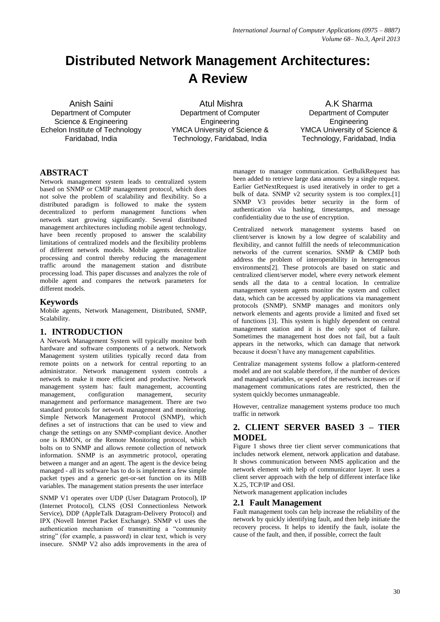# **Distributed Network Management Architectures: A Review**

Anish Saini Department of Computer Science & Engineering Echelon Institute of Technology Faridabad, India

Atul Mishra Department of Computer **Engineering** YMCA University of Science & Technology, Faridabad, India

A.K Sharma Department of Computer **Engineering** YMCA University of Science & Technology, Faridabad, India

# **ABSTRACT**

Network management system leads to centralized system based on SNMP or CMIP management protocol, which does not solve the problem of scalability and flexibility. So a distributed paradigm is followed to make the system decentralized to perform management functions when network start growing significantly. Several distributed management architectures including mobile agent technology, have been recently proposed to answer the scalability limitations of centralized models and the flexibility problems of different network models. Mobile agents decentralize processing and control thereby reducing the management traffic around the management station and distribute processing load. This paper discusses and analyzes the role of mobile agent and compares the network parameters for different models.

#### **Keywords**

Mobile agents, Network Management, Distributed, SNMP, Scalability.

# **1. INTRODUCTION**

A Network Management System will typically monitor both hardware and software components of a network. Network Management system utilities typically record data from remote points on a network for central reporting to an administrator. Network management system controls a network to make it more efficient and productive. Network management system has: fault management, accounting management, configuration management, security management and performance management. There are two standard protocols for network management and monitoring. Simple Network Management Protocol (SNMP), which defines a set of instructions that can be used to view and change the settings on any SNMP-compliant device. Another one is RMON, or the Remote Monitoring protocol, which bolts on to SNMP and allows remote collection of network information. SNMP is an asymmetric protocol, operating between a manger and an agent. The agent is the device being managed - all its software has to do is implement a few simple packet types and a generic get-or-set function on its MIB variables. The management station presents the user interface

SNMP V1 operates over UDP (User Datagram Protocol), IP (Internet Protocol), CLNS (OSI Connectionless Network Service), DDP (AppleTalk Datagram-Delivery Protocol) and IPX (Novell Internet Packet Exchange). SNMP v1 uses the authentication mechanism of transmitting a "community string" (for example, a password) in clear text, which is very insecure. SNMP V2 also adds improvements in the area of manager to manager communication. GetBulkRequest has been added to retrieve large data amounts by a single request. Earlier GetNextRequest is used iteratively in order to get a bulk of data. SNMP v2 security system is too complex.[1] SNMP V3 provides better security in the form of authentication via hashing, timestamps, and message confidentiality due to the use of encryption.

Centralized network management systems based on client/server is known by a low degree of scalability and flexibility, and cannot fulfill the needs of telecommunication networks of the current scenarios. SNMP & CMIP both address the problem of interoperability in heterogeneous environments[2]. These protocols are based on static and centralized client/server model, where every network element sends all the data to a central location. In centralize management system agents monitor the system and collect data, which can be accessed by applications via management protocols (SNMP). SNMP manages and monitors only network elements and agents provide a limited and fixed set of functions [3]. This system is highly dependent on central management station and it is the only spot of failure. Sometimes the management host does not fail, but a fault appears in the networks, which can damage that network because it doesn't have any management capabilities.

Centralize management systems follow a platform-centered model and are not scalable therefore, if the number of devices and managed variables, or speed of the network increases or if management communications rates are restricted, then the system quickly becomes unmanageable.

However, centralize management systems produce too much traffic in network

#### **2. CLIENT SERVER BASED 3 – TIER MODEL**

Figure 1 shows three tier client server communications that includes network element, network application and database. It shows communication between NMS application and the network element with help of communicator layer. It uses a client server approach with the help of different interface like X.25, TCP/IP and OSI.

Network management application includes

#### **2.1 Fault Management**

Fault management tools can help increase the reliability of the network by quickly identifying fault, and then help initiate the recovery process. It helps to identify the fault, isolate the cause of the fault, and then, if possible, correct the fault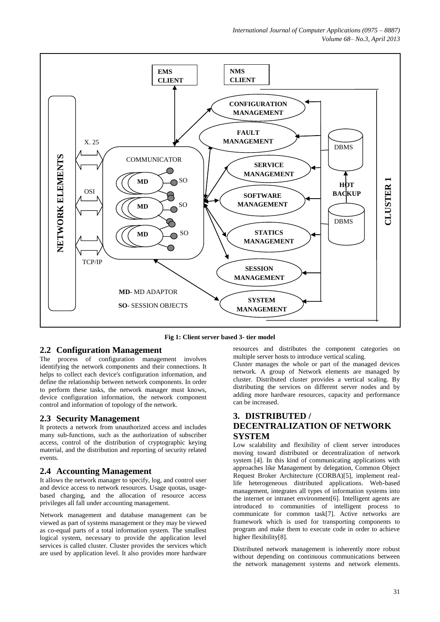*International Journal of Computer Applications (0975 – 8887) Volume 68– No.3, April 2013*



**Fig 1: Client server based 3- tier model**

#### **2.2 Configuration Management**

The process of configuration management involves identifying the network components and their connections. It helps to collect each device's configuration information, and define the relationship between network components. In order to perform these tasks, the network manager must knows, device configuration information, the network component control and information of topology of the network.

#### **2.3 Security Management**

It protects a network from unauthorized access and includes many sub-functions, such as the authorization of subscriber access, control of the distribution of cryptographic keying material, and the distribution and reporting of security related events.

#### **2.4 Accounting Management**

It allows the network manager to specify, log, and control user and device access to network resources. Usage quotas, usagebased charging, and the allocation of resource access privileges all fall under accounting management.

Network management and database management can be viewed as part of systems management or they may be viewed as co-equal parts of a total information system. The smallest logical system, necessary to provide the application level services is called cluster. Cluster provides the services which are used by application level. It also provides more hardware

resources and distributes the component categories on multiple server hosts to introduce vertical scaling.

Cluster manages the whole or part of the managed devices network. A group of Network elements are managed by cluster. Distributed cluster provides a vertical scaling. By distributing the services on different server nodes and by adding more hardware resources, capacity and performance can be increased.

# **3. DISTRIBUTED / DECENTRALIZATION OF NETWORK SYSTEM**

Low scalability and flexibility of client server introduces moving toward distributed or decentralization of network system [4]. In this kind of communicating applications with approaches like Management by delegation, Common Object Request Broker Architecture (CORBA)[5], implement reallife heterogeneous distributed applications. Web-based management, integrates all types of information systems into the internet or intranet environment[6]. Intelligent agents are introduced to communities of intelligent process to communicate for common task[7]. Active networks are framework which is used for transporting components to program and make them to execute code in order to achieve higher flexibility[8].

Distributed network management is inherently more robust without depending on continuous communications between the network management systems and network elements.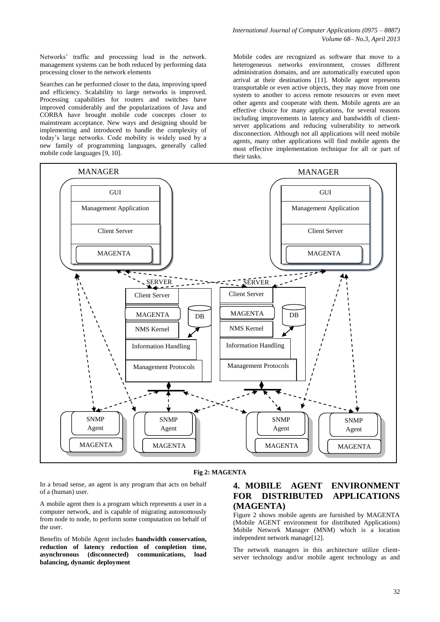Networks' traffic and processing load in the network. management systems can be both reduced by performing data processing closer to the network elements

Searches can be performed closer to the data, improving speed and efficiency. Scalability to large networks is improved. Processing capabilities for routers and switches have improved considerably and the popularizations of Java and CORBA have brought mobile code concepts closer to mainstream acceptance. New ways and designing should be implementing and introduced to handle the complexity of today's large networks. Code mobility is widely used by a new family of programming languages, generally called mobile code languages [9, 10].

Mobile codes are recognized as software that move to a heterogeneous networks environment, crosses different administration domains, and are automatically executed upon arrival at their destinations [11]. Mobile agent represents transportable or even active objects, they may move from one system to another to access remote resources or even meet other agents and cooperate with them. Mobile agents are an effective choice for many applications, for several reasons including improvements in latency and bandwidth of clientserver applications and reducing vulnerability to network disconnection. Although not all applications will need mobile agents, many other applications will find mobile agents the most effective implementation technique for all or part of their tasks.



#### **Fig 2: MAGENTA**

In a broad sense, an agent is any program that acts on behalf of a (human) user.

A mobile agent then is a program which represents a user in a computer network, and is capable of migrating autonomously from node to node, to perform some computation on behalf of the user.

Benefits of Mobile Agent includes **bandwidth conservation, reduction of latency reduction of completion time, asynchronous (disconnected) communications, load balancing, dynamic deployment**

### **4. MOBILE AGENT ENVIRONMENT FOR DISTRIBUTED APPLICATIONS (MAGENTA)**

Figure 2 shows mobile agents are furnished by MAGENTA (Mobile AGENT environment for distributed Applications) Mobile Network Manager (MNM) which is a location independent network manage[12].

The network managers in this architecture utilize clientserver technology and/or mobile agent technology as and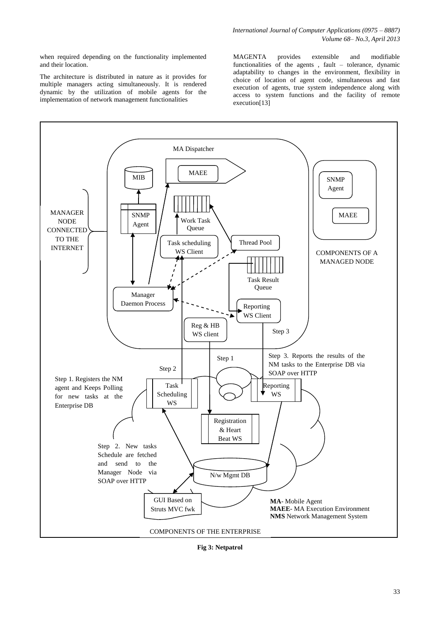when required depending on the functionality implemented and their location.

The architecture is distributed in nature as it provides for multiple managers acting simultaneously. It is rendered dynamic by the utilization of mobile agents for the implementation of network management functionalities

MAGENTA provides extensible and modifiable functionalities of the agents , fault – tolerance, dynamic adaptability to changes in the environment, flexibility in choice of location of agent code, simultaneous and fast execution of agents, true system independence along with access to system functions and the facility of remote execution[13]



**Fig 3: Netpatrol**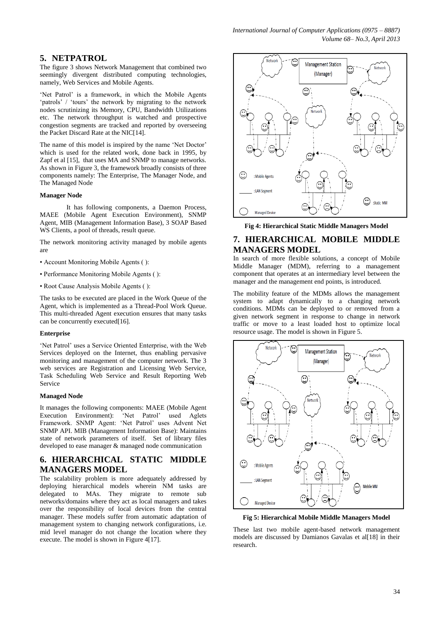#### **5. NETPATROL**

The figure 3 shows Network Management that combined two seemingly divergent distributed computing technologies, namely, Web Services and Mobile Agents.

'Net Patrol' is a framework, in which the Mobile Agents 'patrols' / 'tours' the network by migrating to the network nodes scrutinizing its Memory, CPU, Bandwidth Utilizations etc. The network throughput is watched and prospective congestion segments are tracked and reported by overseeing the Packet Discard Rate at the NIC[14].

The name of this model is inspired by the name 'Net Doctor' which is used for the related work, done back in 1995, by Zapf et al [15], that uses MA and SNMP to manage networks. As shown in Figure 3, the framework broadly consists of three components namely: The Enterprise, The Manager Node, and The Managed Node

#### **Manager Node**

It has following components, a Daemon Process, MAEE (Mobile Agent Execution Environment), SNMP Agent, MIB (Management Information Base), 3 SOAP Based WS Clients, a pool of threads, result queue.

The network monitoring activity managed by mobile agents are

- Account Monitoring Mobile Agents ( ):
- Performance Monitoring Mobile Agents ( ):
- Root Cause Analysis Mobile Agents ( ):

The tasks to be executed are placed in the Work Queue of the Agent, which is implemented as a Thread-Pool Work Queue. This multi-threaded Agent execution ensures that many tasks can be concurrently executed[16].

#### **Enterprise**

'Net Patrol' uses a Service Oriented Enterprise, with the Web Services deployed on the Internet, thus enabling pervasive monitoring and management of the computer network. The 3 web services are Registration and Licensing Web Service, Task Scheduling Web Service and Result Reporting Web Service

#### **Managed Node**

It manages the following components: MAEE (Mobile Agent Execution Environment): 'Net Patrol' used Aglets Execution Environment): 'Net Patrol' used Aglets Framework. SNMP Agent: 'Net Patrol' uses Advent Net SNMP API. MIB (Management Information Base): Maintains state of network parameters of itself. Set of library files developed to ease manager & managed node communication

# **6. HIERARCHICAL STATIC MIDDLE MANAGERS MODEL**

The scalability problem is more adequately addressed by deploying hierarchical models wherein NM tasks are delegated to MAs. They migrate to remote sub networks/domains where they act as local managers and takes over the responsibility of local devices from the central manager. These models suffer from automatic adaptation of management system to changing network configurations, i.e. mid level manager do not change the location where they execute. The model is shown in Figure 4[17].



**Fig 4: Hierarchical Static Middle Managers Model**

# **7. HIERARCHICAL MOBILE MIDDLE MANAGERS MODEL**

In search of more flexible solutions, a concept of Mobile Middle Manager (MDM), referring to a management component that operates at an intermediary level between the manager and the management end points, is introduced.

The mobility feature of the MDMs allows the management system to adapt dynamically to a changing network conditions. MDMs can be deployed to or removed from a given network segment in response to change in network traffic or move to a least loaded host to optimize local resource usage. The model is shown in Figure 5.



**Fig 5: Hierarchical Mobile Middle Managers Model**

These last two mobile agent-based network management models are discussed by Damianos Gavalas et al[18] in their research.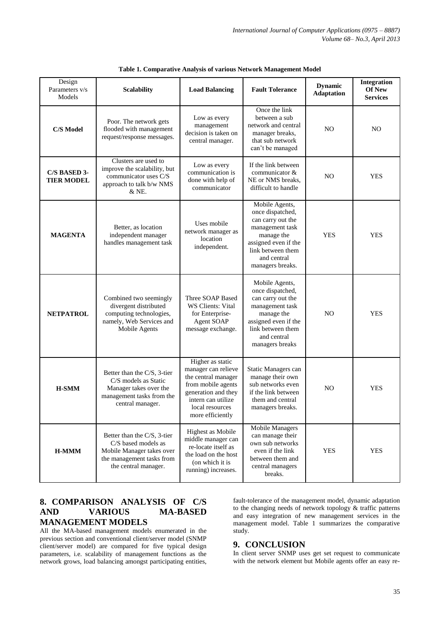| Design<br>Parameters v/s<br>Models | <b>Scalability</b>                                                                                                                   | <b>Load Balancing</b>                                                                                                                                                    | <b>Fault Tolerance</b>                                                                                                                                                   | <b>Dynamic</b><br><b>Adaptation</b> | Integration<br>Of New<br><b>Services</b> |
|------------------------------------|--------------------------------------------------------------------------------------------------------------------------------------|--------------------------------------------------------------------------------------------------------------------------------------------------------------------------|--------------------------------------------------------------------------------------------------------------------------------------------------------------------------|-------------------------------------|------------------------------------------|
| <b>C/S Model</b>                   | Poor. The network gets<br>flooded with management<br>request/response messages.                                                      | Low as every<br>management<br>decision is taken on<br>central manager.                                                                                                   | Once the link<br>between a sub<br>network and central<br>manager breaks,<br>that sub network<br>can't be managed                                                         | N <sub>O</sub>                      | NO                                       |
| C/S BASED 3-<br><b>TIER MODEL</b>  | Clusters are used to<br>improve the scalability, but<br>communicator uses C/S<br>approach to talk b/w NMS<br>& NE.                   | Low as every<br>communication is<br>done with help of<br>communicator                                                                                                    | If the link between<br>communicator &<br>NE or NMS breaks,<br>difficult to handle                                                                                        | N <sub>O</sub>                      | <b>YES</b>                               |
| <b>MAGENTA</b>                     | Better, as location<br>independent manager<br>handles management task                                                                | Uses mobile<br>network manager as<br>location<br>independent.                                                                                                            | Mobile Agents,<br>once dispatched,<br>can carry out the<br>management task<br>manage the<br>assigned even if the<br>link between them<br>and central<br>managers breaks. | <b>YES</b>                          | <b>YES</b>                               |
| <b>NETPATROL</b>                   | Combined two seemingly<br>divergent distributed<br>computing technologies,<br>namely, Web Services and<br>Mobile Agents              | Three SOAP Based<br>WS Clients: Vital<br>for Enterprise-<br><b>Agent SOAP</b><br>message exchange.                                                                       | Mobile Agents,<br>once dispatched,<br>can carry out the<br>management task<br>manage the<br>assigned even if the<br>link between them<br>and central<br>managers breaks  | N <sub>O</sub>                      | <b>YES</b>                               |
| <b>H-SMM</b>                       | Better than the C/S, 3-tier<br>C/S models as Static<br>Manager takes over the<br>management tasks from the<br>central manager.       | Higher as static<br>manager can relieve<br>the central manager<br>from mobile agents<br>generation and they<br>intern can utilize<br>local resources<br>more efficiently | Static Managers can<br>manage their own<br>sub networks even<br>if the link between<br>them and central<br>managers breaks.                                              | N <sub>O</sub>                      | <b>YES</b>                               |
| $H-MMM$                            | Better than the C/S, 3-tier<br>C/S based models as<br>Mobile Manager takes over<br>the management tasks from<br>the central manager. | Highest as Mobile<br>middle manager can<br>re-locate itself as<br>the load on the host<br>(on which it is<br>running) increases.                                         | Mobile Managers<br>can manage their<br>own sub networks<br>even if the link<br>between them and<br>central managers<br>breaks.                                           | <b>YES</b>                          | <b>YES</b>                               |

**Table 1. Comparative Analysis of various Network Management Model**

# **8. COMPARISON ANALYSIS OF C/S AND VARIOUS MA-BASED MANAGEMENT MODELS**

All the MA-based management models enumerated in the previous section and conventional client/server model (SNMP client/server model) are compared for five typical design parameters, i.e. scalability of management functions as the network grows, load balancing amongst participating entities, fault-tolerance of the management model, dynamic adaptation to the changing needs of network topology & traffic patterns and easy integration of new management services in the management model. Table 1 summarizes the comparative study.

# **9. CONCLUSION**

In client server SNMP uses get set request to communicate with the network element but Mobile agents offer an easy re